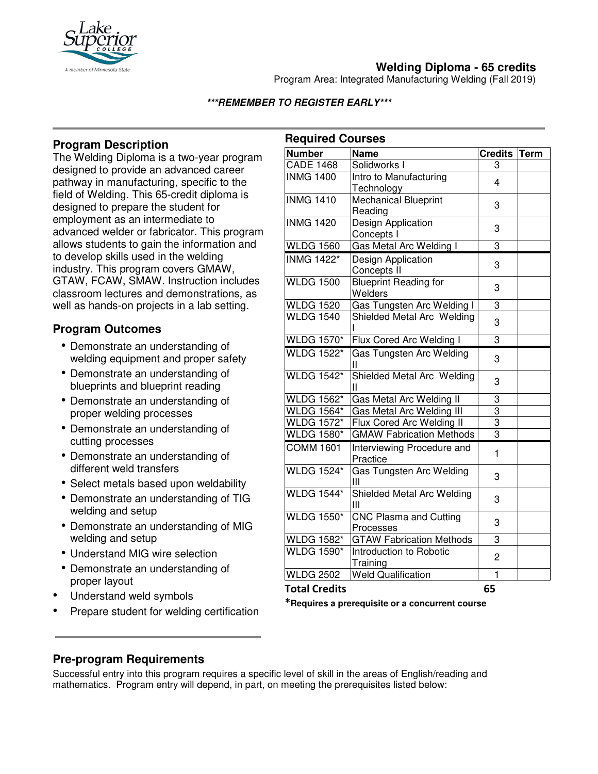

# **Welding Diploma - 65 credits**

Program Area: Integrated Manufacturing Welding (Fall 2019)

### **\*\*\*REMEMBER TO REGISTER EARLY\*\*\***

# **Program Description**

The Welding Diploma is a two-year program designed to provide an advanced career pathway in manufacturing, specific to the field of Welding. This 65-credit diploma is designed to prepare the student for employment as an intermediate to advanced welder or fabricator. This program allows students to gain the information and to develop skills used in the welding industry. This program covers GMAW, GTAW, FCAW, SMAW. Instruction includes classroom lectures and demonstrations, as well as hands-on projects in a lab setting.

## **Program Outcomes**

- Demonstrate an understanding of welding equipment and proper safety
- Demonstrate an understanding of blueprints and blueprint reading
- Demonstrate an understanding of proper welding processes
- Demonstrate an understanding of cutting processes
- Demonstrate an understanding of different weld transfers
- Select metals based upon weldability
- Demonstrate an understanding of TIG welding and setup
- Demonstrate an understanding of MIG welding and setup
- Understand MIG wire selection
- Demonstrate an understanding of proper layout
- Understand weld symbols
- Prepare student for welding certification

| <b>Number</b><br><b>Name</b><br><b>Credits</b><br><b>Term</b><br><b>CADE 1468</b><br>Solidworks I<br>3<br><b>INMG 1400</b><br>Intro to Manufacturing<br>4<br>Technology<br>Mechanical Blueprint<br><b>INMG 1410</b><br>3<br>Reading<br><b>INMG 1420</b><br><b>Design Application</b><br>3<br>Concepts I<br><b>Gas Metal Arc Welding I</b><br>3<br><b>WLDG 1560</b><br><b>INMG 1422*</b><br>Design Application<br>3<br>Concepts II<br><b>WLDG 1500</b><br><b>Blueprint Reading for</b><br>3<br>Welders<br>3<br><b>WLDG 1520</b><br>Gas Tungsten Arc Welding I<br><b>WLDG 1540</b><br>Shielded Metal Arc Welding<br>3<br><b>WLDG 1570*</b><br>Flux Cored Arc Welding I<br>3<br><b>WLDG 1522*</b><br><b>Gas Tungsten Arc Welding</b><br>3<br>Ш<br><b>WLDG 1542*</b><br>Shielded Metal Arc Welding<br>3<br>Ш<br><b>WLDG 1562*</b><br>Gas Metal Arc Welding II<br>3<br><b>WLDG 1564*</b><br>3<br>Gas Metal Arc Welding III<br>$\overline{3}$<br>$\overline{\text{W}}$ LDG 1572*<br>Flux Cored Arc Welding II<br>3<br><b>GMAW Fabrication Methods</b><br><b>WLDG 1580*</b><br><b>COMM 1601</b><br>Interviewing Procedure and<br>1<br>Practice<br><b>WLDG 1524*</b><br>Gas Tungsten Arc Welding<br>3<br>Ш<br><b>WLDG 1544*</b><br>Shielded Metal Arc Welding<br>3<br>Ш<br><b>WLDG 1550*</b><br><b>CNC Plasma and Cutting</b><br>3<br>Processes<br><b>GTAW Fabrication Methods</b><br>3<br><b>WLDG 1582*</b><br><b>WLDG 1590*</b><br>Introduction to Robotic<br>2<br>Training<br><b>Weld Qualification</b><br><b>WLDG 2502</b><br>$\mathbf 1$<br><b>Total Credits</b><br>65 | <b>Required Courses</b> |  |  |  |  |
|---------------------------------------------------------------------------------------------------------------------------------------------------------------------------------------------------------------------------------------------------------------------------------------------------------------------------------------------------------------------------------------------------------------------------------------------------------------------------------------------------------------------------------------------------------------------------------------------------------------------------------------------------------------------------------------------------------------------------------------------------------------------------------------------------------------------------------------------------------------------------------------------------------------------------------------------------------------------------------------------------------------------------------------------------------------------------------------------------------------------------------------------------------------------------------------------------------------------------------------------------------------------------------------------------------------------------------------------------------------------------------------------------------------------------------------------------------------------------------------------------------------------------------------------------------------------|-------------------------|--|--|--|--|
|                                                                                                                                                                                                                                                                                                                                                                                                                                                                                                                                                                                                                                                                                                                                                                                                                                                                                                                                                                                                                                                                                                                                                                                                                                                                                                                                                                                                                                                                                                                                                                     |                         |  |  |  |  |
|                                                                                                                                                                                                                                                                                                                                                                                                                                                                                                                                                                                                                                                                                                                                                                                                                                                                                                                                                                                                                                                                                                                                                                                                                                                                                                                                                                                                                                                                                                                                                                     |                         |  |  |  |  |
|                                                                                                                                                                                                                                                                                                                                                                                                                                                                                                                                                                                                                                                                                                                                                                                                                                                                                                                                                                                                                                                                                                                                                                                                                                                                                                                                                                                                                                                                                                                                                                     |                         |  |  |  |  |
|                                                                                                                                                                                                                                                                                                                                                                                                                                                                                                                                                                                                                                                                                                                                                                                                                                                                                                                                                                                                                                                                                                                                                                                                                                                                                                                                                                                                                                                                                                                                                                     |                         |  |  |  |  |
|                                                                                                                                                                                                                                                                                                                                                                                                                                                                                                                                                                                                                                                                                                                                                                                                                                                                                                                                                                                                                                                                                                                                                                                                                                                                                                                                                                                                                                                                                                                                                                     |                         |  |  |  |  |
|                                                                                                                                                                                                                                                                                                                                                                                                                                                                                                                                                                                                                                                                                                                                                                                                                                                                                                                                                                                                                                                                                                                                                                                                                                                                                                                                                                                                                                                                                                                                                                     |                         |  |  |  |  |
|                                                                                                                                                                                                                                                                                                                                                                                                                                                                                                                                                                                                                                                                                                                                                                                                                                                                                                                                                                                                                                                                                                                                                                                                                                                                                                                                                                                                                                                                                                                                                                     |                         |  |  |  |  |
|                                                                                                                                                                                                                                                                                                                                                                                                                                                                                                                                                                                                                                                                                                                                                                                                                                                                                                                                                                                                                                                                                                                                                                                                                                                                                                                                                                                                                                                                                                                                                                     |                         |  |  |  |  |
|                                                                                                                                                                                                                                                                                                                                                                                                                                                                                                                                                                                                                                                                                                                                                                                                                                                                                                                                                                                                                                                                                                                                                                                                                                                                                                                                                                                                                                                                                                                                                                     |                         |  |  |  |  |
|                                                                                                                                                                                                                                                                                                                                                                                                                                                                                                                                                                                                                                                                                                                                                                                                                                                                                                                                                                                                                                                                                                                                                                                                                                                                                                                                                                                                                                                                                                                                                                     |                         |  |  |  |  |
|                                                                                                                                                                                                                                                                                                                                                                                                                                                                                                                                                                                                                                                                                                                                                                                                                                                                                                                                                                                                                                                                                                                                                                                                                                                                                                                                                                                                                                                                                                                                                                     |                         |  |  |  |  |
|                                                                                                                                                                                                                                                                                                                                                                                                                                                                                                                                                                                                                                                                                                                                                                                                                                                                                                                                                                                                                                                                                                                                                                                                                                                                                                                                                                                                                                                                                                                                                                     |                         |  |  |  |  |
|                                                                                                                                                                                                                                                                                                                                                                                                                                                                                                                                                                                                                                                                                                                                                                                                                                                                                                                                                                                                                                                                                                                                                                                                                                                                                                                                                                                                                                                                                                                                                                     |                         |  |  |  |  |
|                                                                                                                                                                                                                                                                                                                                                                                                                                                                                                                                                                                                                                                                                                                                                                                                                                                                                                                                                                                                                                                                                                                                                                                                                                                                                                                                                                                                                                                                                                                                                                     |                         |  |  |  |  |
|                                                                                                                                                                                                                                                                                                                                                                                                                                                                                                                                                                                                                                                                                                                                                                                                                                                                                                                                                                                                                                                                                                                                                                                                                                                                                                                                                                                                                                                                                                                                                                     |                         |  |  |  |  |
|                                                                                                                                                                                                                                                                                                                                                                                                                                                                                                                                                                                                                                                                                                                                                                                                                                                                                                                                                                                                                                                                                                                                                                                                                                                                                                                                                                                                                                                                                                                                                                     |                         |  |  |  |  |
|                                                                                                                                                                                                                                                                                                                                                                                                                                                                                                                                                                                                                                                                                                                                                                                                                                                                                                                                                                                                                                                                                                                                                                                                                                                                                                                                                                                                                                                                                                                                                                     |                         |  |  |  |  |
|                                                                                                                                                                                                                                                                                                                                                                                                                                                                                                                                                                                                                                                                                                                                                                                                                                                                                                                                                                                                                                                                                                                                                                                                                                                                                                                                                                                                                                                                                                                                                                     |                         |  |  |  |  |
|                                                                                                                                                                                                                                                                                                                                                                                                                                                                                                                                                                                                                                                                                                                                                                                                                                                                                                                                                                                                                                                                                                                                                                                                                                                                                                                                                                                                                                                                                                                                                                     |                         |  |  |  |  |
|                                                                                                                                                                                                                                                                                                                                                                                                                                                                                                                                                                                                                                                                                                                                                                                                                                                                                                                                                                                                                                                                                                                                                                                                                                                                                                                                                                                                                                                                                                                                                                     |                         |  |  |  |  |
|                                                                                                                                                                                                                                                                                                                                                                                                                                                                                                                                                                                                                                                                                                                                                                                                                                                                                                                                                                                                                                                                                                                                                                                                                                                                                                                                                                                                                                                                                                                                                                     |                         |  |  |  |  |
|                                                                                                                                                                                                                                                                                                                                                                                                                                                                                                                                                                                                                                                                                                                                                                                                                                                                                                                                                                                                                                                                                                                                                                                                                                                                                                                                                                                                                                                                                                                                                                     |                         |  |  |  |  |
|                                                                                                                                                                                                                                                                                                                                                                                                                                                                                                                                                                                                                                                                                                                                                                                                                                                                                                                                                                                                                                                                                                                                                                                                                                                                                                                                                                                                                                                                                                                                                                     |                         |  |  |  |  |
|                                                                                                                                                                                                                                                                                                                                                                                                                                                                                                                                                                                                                                                                                                                                                                                                                                                                                                                                                                                                                                                                                                                                                                                                                                                                                                                                                                                                                                                                                                                                                                     |                         |  |  |  |  |
|                                                                                                                                                                                                                                                                                                                                                                                                                                                                                                                                                                                                                                                                                                                                                                                                                                                                                                                                                                                                                                                                                                                                                                                                                                                                                                                                                                                                                                                                                                                                                                     |                         |  |  |  |  |
|                                                                                                                                                                                                                                                                                                                                                                                                                                                                                                                                                                                                                                                                                                                                                                                                                                                                                                                                                                                                                                                                                                                                                                                                                                                                                                                                                                                                                                                                                                                                                                     |                         |  |  |  |  |
|                                                                                                                                                                                                                                                                                                                                                                                                                                                                                                                                                                                                                                                                                                                                                                                                                                                                                                                                                                                                                                                                                                                                                                                                                                                                                                                                                                                                                                                                                                                                                                     |                         |  |  |  |  |
|                                                                                                                                                                                                                                                                                                                                                                                                                                                                                                                                                                                                                                                                                                                                                                                                                                                                                                                                                                                                                                                                                                                                                                                                                                                                                                                                                                                                                                                                                                                                                                     |                         |  |  |  |  |
|                                                                                                                                                                                                                                                                                                                                                                                                                                                                                                                                                                                                                                                                                                                                                                                                                                                                                                                                                                                                                                                                                                                                                                                                                                                                                                                                                                                                                                                                                                                                                                     |                         |  |  |  |  |
|                                                                                                                                                                                                                                                                                                                                                                                                                                                                                                                                                                                                                                                                                                                                                                                                                                                                                                                                                                                                                                                                                                                                                                                                                                                                                                                                                                                                                                                                                                                                                                     |                         |  |  |  |  |
|                                                                                                                                                                                                                                                                                                                                                                                                                                                                                                                                                                                                                                                                                                                                                                                                                                                                                                                                                                                                                                                                                                                                                                                                                                                                                                                                                                                                                                                                                                                                                                     |                         |  |  |  |  |
|                                                                                                                                                                                                                                                                                                                                                                                                                                                                                                                                                                                                                                                                                                                                                                                                                                                                                                                                                                                                                                                                                                                                                                                                                                                                                                                                                                                                                                                                                                                                                                     |                         |  |  |  |  |
|                                                                                                                                                                                                                                                                                                                                                                                                                                                                                                                                                                                                                                                                                                                                                                                                                                                                                                                                                                                                                                                                                                                                                                                                                                                                                                                                                                                                                                                                                                                                                                     |                         |  |  |  |  |
|                                                                                                                                                                                                                                                                                                                                                                                                                                                                                                                                                                                                                                                                                                                                                                                                                                                                                                                                                                                                                                                                                                                                                                                                                                                                                                                                                                                                                                                                                                                                                                     |                         |  |  |  |  |
|                                                                                                                                                                                                                                                                                                                                                                                                                                                                                                                                                                                                                                                                                                                                                                                                                                                                                                                                                                                                                                                                                                                                                                                                                                                                                                                                                                                                                                                                                                                                                                     |                         |  |  |  |  |
|                                                                                                                                                                                                                                                                                                                                                                                                                                                                                                                                                                                                                                                                                                                                                                                                                                                                                                                                                                                                                                                                                                                                                                                                                                                                                                                                                                                                                                                                                                                                                                     |                         |  |  |  |  |
|                                                                                                                                                                                                                                                                                                                                                                                                                                                                                                                                                                                                                                                                                                                                                                                                                                                                                                                                                                                                                                                                                                                                                                                                                                                                                                                                                                                                                                                                                                                                                                     |                         |  |  |  |  |

**\*Requires a prerequisite or a concurrent course**

## **Pre-program Requirements**

Successful entry into this program requires a specific level of skill in the areas of English/reading and mathematics. Program entry will depend, in part, on meeting the prerequisites listed below: